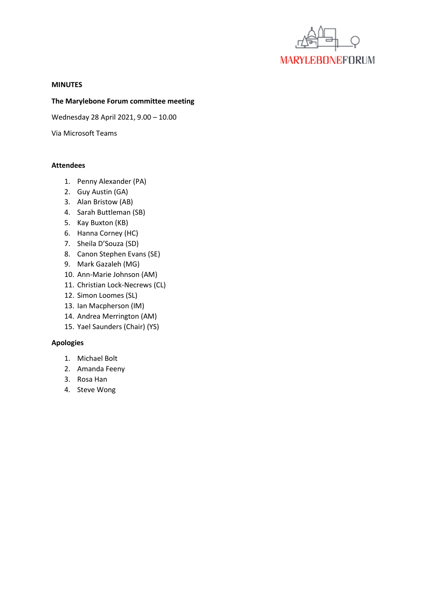

#### **MINUTES**

### **The Marylebone Forum committee meeting**

Wednesday 28 April 2021, 9.00 – 10.00

Via Microsoft Teams

### **Attendees**

- 1. Penny Alexander (PA)
- 2. Guy Austin (GA)
- 3. Alan Bristow (AB)
- 4. Sarah Buttleman (SB)
- 5. Kay Buxton (KB)
- 6. Hanna Corney (HC)
- 7. Sheila D'Souza (SD)
- 8. Canon Stephen Evans (SE)
- 9. Mark Gazaleh (MG)
- 10. Ann-Marie Johnson (AM)
- 11. Christian Lock-Necrews (CL)
- 12. Simon Loomes (SL)
- 13. Ian Macpherson (IM)
- 14. Andrea Merrington (AM)
- 15. Yael Saunders (Chair) (YS)

# **Apologies**

- 1. Michael Bolt
- 2. Amanda Feeny
- 3. Rosa Han
- 4. Steve Wong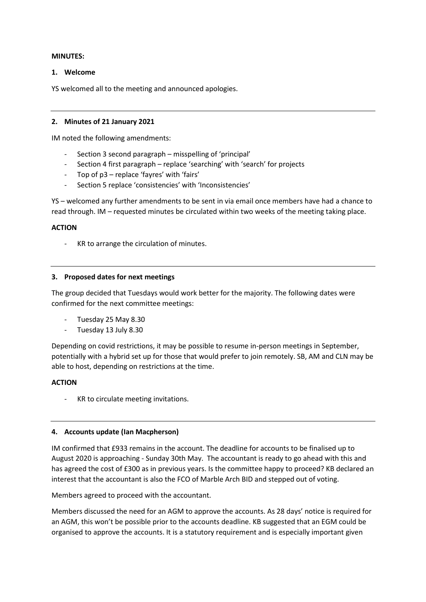## **MINUTES:**

### **1. Welcome**

YS welcomed all to the meeting and announced apologies.

### **2. Minutes of 21 January 2021**

IM noted the following amendments:

- Section 3 second paragraph misspelling of 'principal'
- Section 4 first paragraph replace 'searching' with 'search' for projects
- Top of p3 replace 'fayres' with 'fairs'
- Section 5 replace 'consistencies' with 'Inconsistencies'

YS – welcomed any further amendments to be sent in via email once members have had a chance to read through. IM – requested minutes be circulated within two weeks of the meeting taking place.

#### **ACTION**

KR to arrange the circulation of minutes.

#### **3. Proposed dates for next meetings**

The group decided that Tuesdays would work better for the majority. The following dates were confirmed for the next committee meetings:

- Tuesday 25 May 8.30
- Tuesday 13 July 8.30

Depending on covid restrictions, it may be possible to resume in-person meetings in September, potentially with a hybrid set up for those that would prefer to join remotely. SB, AM and CLN may be able to host, depending on restrictions at the time.

## **ACTION**

KR to circulate meeting invitations.

## **4. Accounts update (Ian Macpherson)**

IM confirmed that £933 remains in the account. The deadline for accounts to be finalised up to August 2020 is approaching - Sunday 30th May. The accountant is ready to go ahead with this and has agreed the cost of £300 as in previous years. Is the committee happy to proceed? KB declared an interest that the accountant is also the FCO of Marble Arch BID and stepped out of voting.

Members agreed to proceed with the accountant.

Members discussed the need for an AGM to approve the accounts. As 28 days' notice is required for an AGM, this won't be possible prior to the accounts deadline. KB suggested that an EGM could be organised to approve the accounts. It is a statutory requirement and is especially important given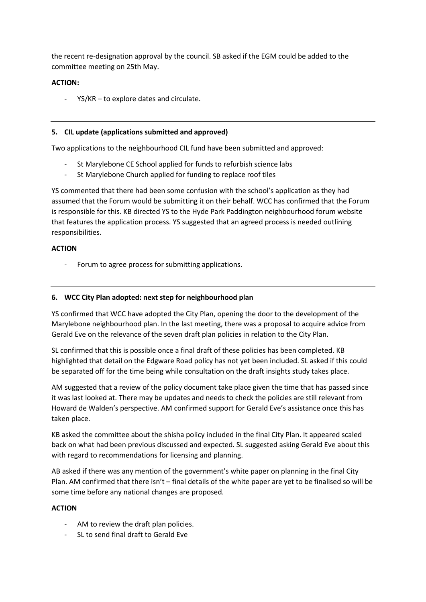the recent re-designation approval by the council. SB asked if the EGM could be added to the committee meeting on 25th May.

# **ACTION:**

YS/KR – to explore dates and circulate.

## **5. CIL update (applications submitted and approved)**

Two applications to the neighbourhood CIL fund have been submitted and approved:

- St Marylebone CE School applied for funds to refurbish science labs
- St Marylebone Church applied for funding to replace roof tiles

YS commented that there had been some confusion with the school's application as they had assumed that the Forum would be submitting it on their behalf. WCC has confirmed that the Forum is responsible for this. KB directed YS to the Hyde Park Paddington neighbourhood forum website that features the application process. YS suggested that an agreed process is needed outlining responsibilities.

# **ACTION**

Forum to agree process for submitting applications.

# **6. WCC City Plan adopted: next step for neighbourhood plan**

YS confirmed that WCC have adopted the City Plan, opening the door to the development of the Marylebone neighbourhood plan. In the last meeting, there was a proposal to acquire advice from Gerald Eve on the relevance of the seven draft plan policies in relation to the City Plan.

SL confirmed that this is possible once a final draft of these policies has been completed. KB highlighted that detail on the Edgware Road policy has not yet been included. SL asked if this could be separated off for the time being while consultation on the draft insights study takes place.

AM suggested that a review of the policy document take place given the time that has passed since it was last looked at. There may be updates and needs to check the policies are still relevant from Howard de Walden's perspective. AM confirmed support for Gerald Eve's assistance once this has taken place.

KB asked the committee about the shisha policy included in the final City Plan. It appeared scaled back on what had been previous discussed and expected. SL suggested asking Gerald Eve about this with regard to recommendations for licensing and planning.

AB asked if there was any mention of the government's white paper on planning in the final City Plan. AM confirmed that there isn't – final details of the white paper are yet to be finalised so will be some time before any national changes are proposed.

## **ACTION**

- AM to review the draft plan policies.
- SL to send final draft to Gerald Eve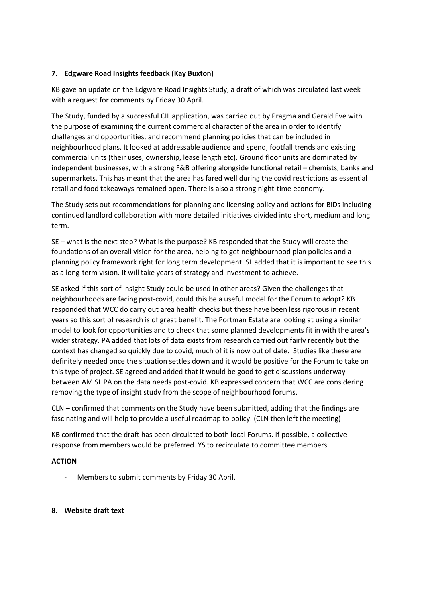# **7. Edgware Road Insights feedback (Kay Buxton)**

KB gave an update on the Edgware Road Insights Study, a draft of which was circulated last week with a request for comments by Friday 30 April.

The Study, funded by a successful CIL application, was carried out by Pragma and Gerald Eve with the purpose of examining the current commercial character of the area in order to identify challenges and opportunities, and recommend planning policies that can be included in neighbourhood plans. It looked at addressable audience and spend, footfall trends and existing commercial units (their uses, ownership, lease length etc). Ground floor units are dominated by independent businesses, with a strong F&B offering alongside functional retail – chemists, banks and supermarkets. This has meant that the area has fared well during the covid restrictions as essential retail and food takeaways remained open. There is also a strong night-time economy.

The Study sets out recommendations for planning and licensing policy and actions for BIDs including continued landlord collaboration with more detailed initiatives divided into short, medium and long term.

SE – what is the next step? What is the purpose? KB responded that the Study will create the foundations of an overall vision for the area, helping to get neighbourhood plan policies and a planning policy framework right for long term development. SL added that it is important to see this as a long-term vision. It will take years of strategy and investment to achieve.

SE asked if this sort of Insight Study could be used in other areas? Given the challenges that neighbourhoods are facing post-covid, could this be a useful model for the Forum to adopt? KB responded that WCC do carry out area health checks but these have been less rigorous in recent years so this sort of research is of great benefit. The Portman Estate are looking at using a similar model to look for opportunities and to check that some planned developments fit in with the area's wider strategy. PA added that lots of data exists from research carried out fairly recently but the context has changed so quickly due to covid, much of it is now out of date. Studies like these are definitely needed once the situation settles down and it would be positive for the Forum to take on this type of project. SE agreed and added that it would be good to get discussions underway between AM SL PA on the data needs post-covid. KB expressed concern that WCC are considering removing the type of insight study from the scope of neighbourhood forums.

CLN – confirmed that comments on the Study have been submitted, adding that the findings are fascinating and will help to provide a useful roadmap to policy. (CLN then left the meeting)

KB confirmed that the draft has been circulated to both local Forums. If possible, a collective response from members would be preferred. YS to recirculate to committee members.

# **ACTION**

Members to submit comments by Friday 30 April.

## **8. Website draft text**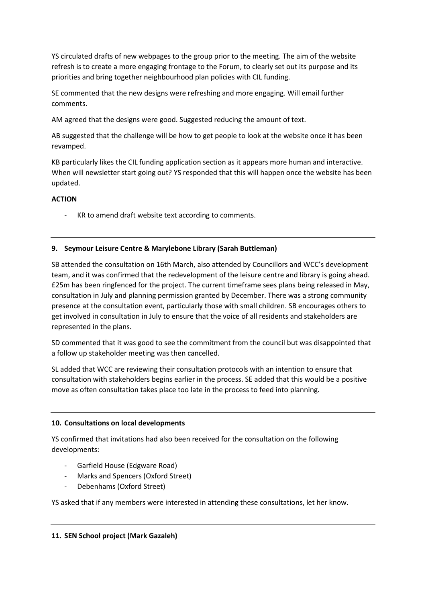YS circulated drafts of new webpages to the group prior to the meeting. The aim of the website refresh is to create a more engaging frontage to the Forum, to clearly set out its purpose and its priorities and bring together neighbourhood plan policies with CIL funding.

SE commented that the new designs were refreshing and more engaging. Will email further comments.

AM agreed that the designs were good. Suggested reducing the amount of text.

AB suggested that the challenge will be how to get people to look at the website once it has been revamped.

KB particularly likes the CIL funding application section as it appears more human and interactive. When will newsletter start going out? YS responded that this will happen once the website has been updated.

# **ACTION**

- KR to amend draft website text according to comments.

# **9. Seymour Leisure Centre & Marylebone Library (Sarah Buttleman)**

SB attended the consultation on 16th March, also attended by Councillors and WCC's development team, and it was confirmed that the redevelopment of the leisure centre and library is going ahead. £25m has been ringfenced for the project. The current timeframe sees plans being released in May, consultation in July and planning permission granted by December. There was a strong community presence at the consultation event, particularly those with small children. SB encourages others to get involved in consultation in July to ensure that the voice of all residents and stakeholders are represented in the plans.

SD commented that it was good to see the commitment from the council but was disappointed that a follow up stakeholder meeting was then cancelled.

SL added that WCC are reviewing their consultation protocols with an intention to ensure that consultation with stakeholders begins earlier in the process. SE added that this would be a positive move as often consultation takes place too late in the process to feed into planning.

# **10. Consultations on local developments**

YS confirmed that invitations had also been received for the consultation on the following developments:

- Garfield House (Edgware Road)
- Marks and Spencers (Oxford Street)
- Debenhams (Oxford Street)

YS asked that if any members were interested in attending these consultations, let her know.

# **11. SEN School project (Mark Gazaleh)**